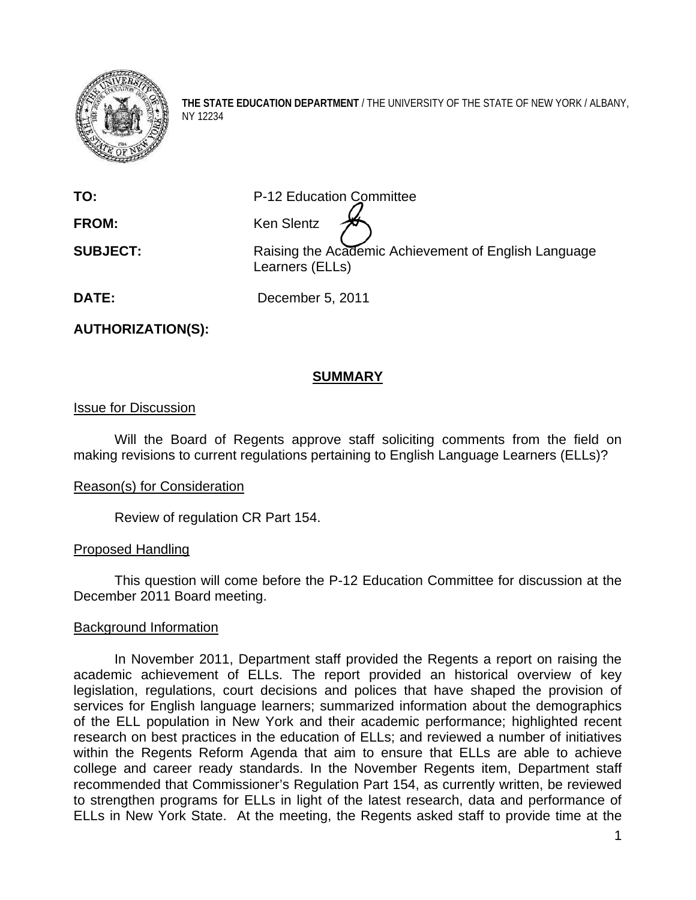

**THE STATE EDUCATION DEPARTMENT** / THE UNIVERSITY OF THE STATE OF NEW YORK / ALBANY, NY 12234

**TO:** P-12 Education Committee

**FROM:** Ken Slentz

**SUBJECT:** Raising the Academic Achievement of English Language Learners (ELLs)

**DATE:** December 5, 2011

**AUTHORIZATION(S):** 

# **SUMMARY**

# Issue for Discussion

Will the Board of Regents approve staff soliciting comments from the field on making revisions to current regulations pertaining to English Language Learners (ELLs)?

## Reason(s) for Consideration

Review of regulation CR Part 154.

## Proposed Handling

This question will come before the P-12 Education Committee for discussion at the December 2011 Board meeting.

## Background Information

In November 2011, Department staff provided the Regents a report on raising the academic achievement of ELLs. The report provided an historical overview of key legislation, regulations, court decisions and polices that have shaped the provision of services for English language learners; summarized information about the demographics of the ELL population in New York and their academic performance; highlighted recent research on best practices in the education of ELLs; and reviewed a number of initiatives within the Regents Reform Agenda that aim to ensure that ELLs are able to achieve college and career ready standards. In the November Regents item, Department staff recommended that Commissioner's Regulation Part 154, as currently written, be reviewed to strengthen programs for ELLs in light of the latest research, data and performance of ELLs in New York State. At the meeting, the Regents asked staff to provide time at the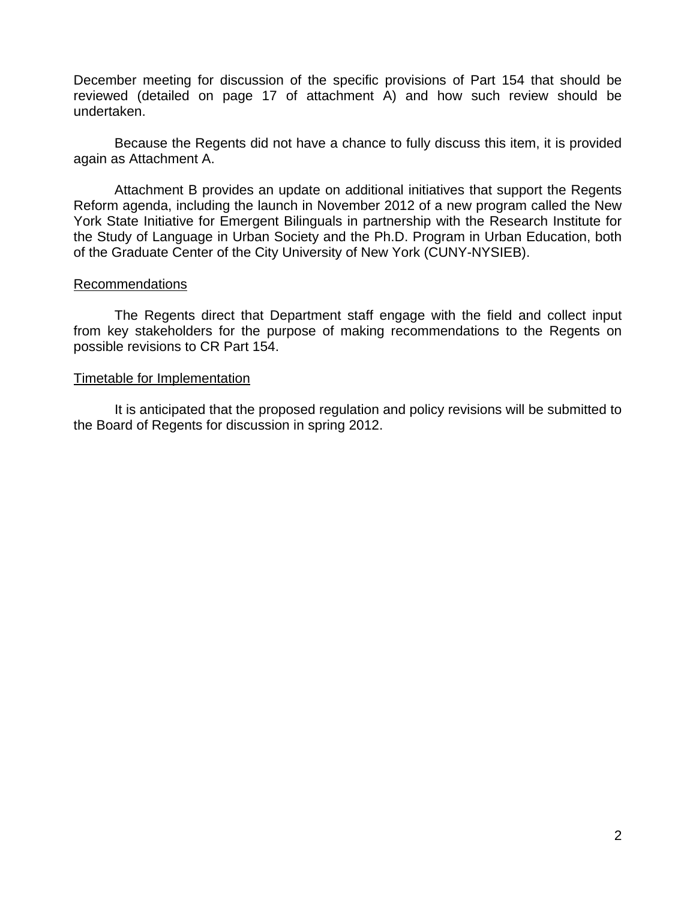December meeting for discussion of the specific provisions of Part 154 that should be reviewed (detailed on page 17 of attachment A) and how such review should be undertaken.

Because the Regents did not have a chance to fully discuss this item, it is provided again as Attachment A.

Attachment B provides an update on additional initiatives that support the Regents Reform agenda, including the launch in November 2012 of a new program called the New York State Initiative for Emergent Bilinguals in partnership with the Research Institute for the Study of Language in Urban Society and the Ph.D. Program in Urban Education, both of the Graduate Center of the City University of New York (CUNY-NYSIEB).

#### Recommendations

The Regents direct that Department staff engage with the field and collect input from key stakeholders for the purpose of making recommendations to the Regents on possible revisions to CR Part 154.

#### Timetable for Implementation

 It is anticipated that the proposed regulation and policy revisions will be submitted to the Board of Regents for discussion in spring 2012.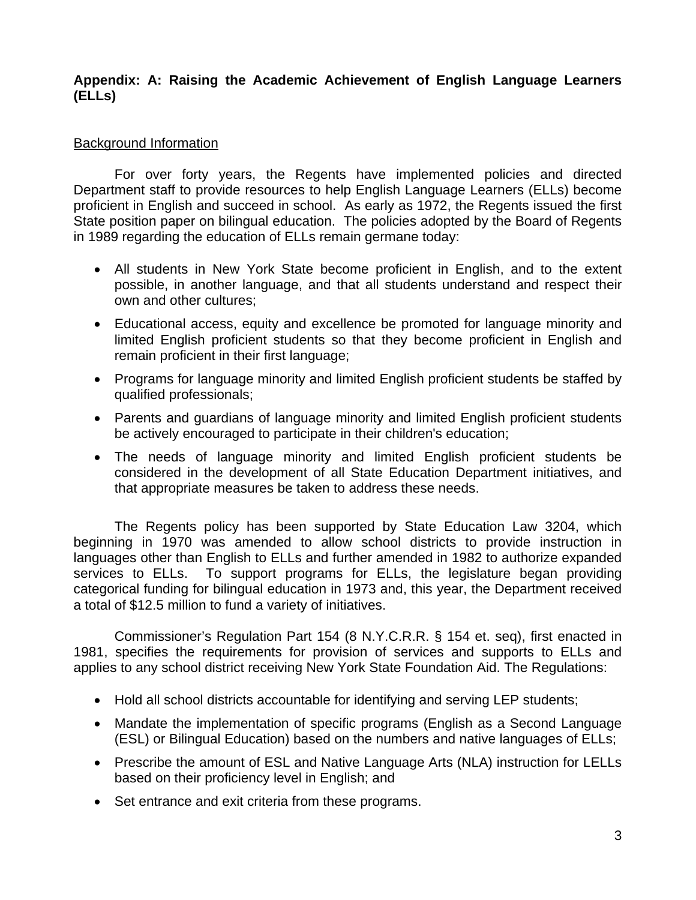# **Appendix: A: Raising the Academic Achievement of English Language Learners (ELLs)**

# Background Information

 For over forty years, the Regents have implemented policies and directed Department staff to provide resources to help English Language Learners (ELLs) become proficient in English and succeed in school. As early as 1972, the Regents issued the first State position paper on bilingual education. The policies adopted by the Board of Regents in 1989 regarding the education of ELLs remain germane today:

- All students in New York State become proficient in English, and to the extent possible, in another language, and that all students understand and respect their own and other cultures;
- Educational access, equity and excellence be promoted for language minority and limited English proficient students so that they become proficient in English and remain proficient in their first language;
- Programs for language minority and limited English proficient students be staffed by qualified professionals;
- Parents and guardians of language minority and limited English proficient students be actively encouraged to participate in their children's education;
- The needs of language minority and limited English proficient students be considered in the development of all State Education Department initiatives, and that appropriate measures be taken to address these needs.

 The Regents policy has been supported by State Education Law 3204, which beginning in 1970 was amended to allow school districts to provide instruction in languages other than English to ELLs and further amended in 1982 to authorize expanded services to ELLs. To support programs for ELLs, the legislature began providing categorical funding for bilingual education in 1973 and, this year, the Department received a total of \$12.5 million to fund a variety of initiatives.

 Commissioner's Regulation Part 154 (8 N.Y.C.R.R. § 154 et. seq), first enacted in 1981, specifies the requirements for provision of services and supports to ELLs and applies to any school district receiving New York State Foundation Aid. The Regulations:

- Hold all school districts accountable for identifying and serving LEP students;
- Mandate the implementation of specific programs (English as a Second Language (ESL) or Bilingual Education) based on the numbers and native languages of ELLs;
- Prescribe the amount of ESL and Native Language Arts (NLA) instruction for LELLs based on their proficiency level in English; and
- Set entrance and exit criteria from these programs.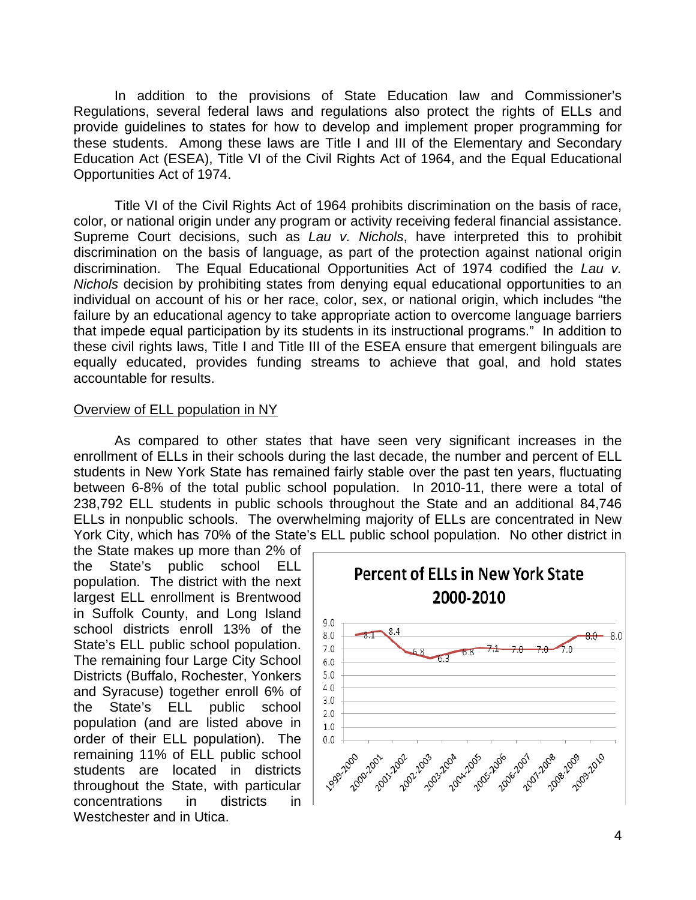In addition to the provisions of State Education law and Commissioner's Regulations, several federal laws and regulations also protect the rights of ELLs and provide guidelines to states for how to develop and implement proper programming for these students. Among these laws are Title I and III of the Elementary and Secondary Education Act (ESEA), Title VI of the Civil Rights Act of 1964, and the Equal Educational Opportunities Act of 1974.

 Title VI of the Civil Rights Act of 1964 prohibits discrimination on the basis of race, color, or national origin under any program or activity receiving federal financial assistance. Supreme Court decisions, such as *Lau v. Nichols*, have interpreted this to prohibit discrimination on the basis of language, as part of the protection against national origin discrimination. The Equal Educational Opportunities Act of 1974 codified the *Lau v. Nichols* decision by prohibiting states from denying equal educational opportunities to an individual on account of his or her race, color, sex, or national origin, which includes "the failure by an educational agency to take appropriate action to overcome language barriers that impede equal participation by its students in its instructional programs." In addition to these civil rights laws, Title I and Title III of the ESEA ensure that emergent bilinguals are equally educated, provides funding streams to achieve that goal, and hold states accountable for results.

#### Overview of ELL population in NY

As compared to other states that have seen very significant increases in the enrollment of ELLs in their schools during the last decade, the number and percent of ELL students in New York State has remained fairly stable over the past ten years, fluctuating between 6-8% of the total public school population. In 2010-11, there were a total of 238,792 ELL students in public schools throughout the State and an additional 84,746 ELLs in nonpublic schools. The overwhelming majority of ELLs are concentrated in New York City, which has 70% of the State's ELL public school population. No other district in

the State makes up more than 2% of the State's public school ELL population. The district with the next largest ELL enrollment is Brentwood in Suffolk County, and Long Island school districts enroll 13% of the State's ELL public school population. The remaining four Large City School Districts (Buffalo, Rochester, Yonkers and Syracuse) together enroll 6% of the State's ELL public school population (and are listed above in order of their ELL population). The remaining 11% of ELL public school students are located in districts throughout the State, with particular concentrations in districts in Westchester and in Utica.

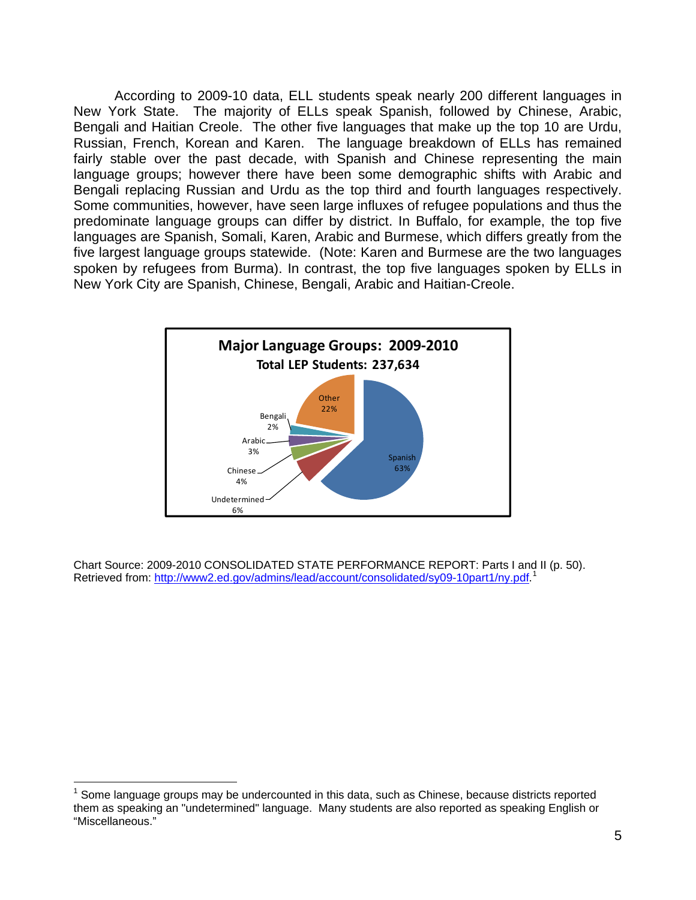According to 2009-10 data, ELL students speak nearly 200 different languages in New York State. The majority of ELLs speak Spanish, followed by Chinese, Arabic, Bengali and Haitian Creole. The other five languages that make up the top 10 are Urdu, Russian, French, Korean and Karen. The language breakdown of ELLs has remained fairly stable over the past decade, with Spanish and Chinese representing the main language groups; however there have been some demographic shifts with Arabic and Bengali replacing Russian and Urdu as the top third and fourth languages respectively. Some communities, however, have seen large influxes of refugee populations and thus the predominate language groups can differ by district. In Buffalo, for example, the top five languages are Spanish, Somali, Karen, Arabic and Burmese, which differs greatly from the five largest language groups statewide. (Note: Karen and Burmese are the two languages spoken by refugees from Burma). In contrast, the top five languages spoken by ELLs in New York City are Spanish, Chinese, Bengali, Arabic and Haitian-Creole.



Chart Source: 2009-2010 CONSOLIDATED STATE PERFORMANCE REPORT: Parts I and II (p. 50). Retrieved from: [http://www2.ed.gov/admins/lead/account/consolidated/sy09-10part1/ny.pdf.](http://www2.ed.gov/admins/lead/account/consolidated/sy09-10part1/ny.pdf)<sup>[1](#page-4-0)</sup>

l

<span id="page-4-0"></span> $1$  Some language groups may be undercounted in this data, such as Chinese, because districts reported them as speaking an "undetermined" language. Many students are also reported as speaking English or "Miscellaneous."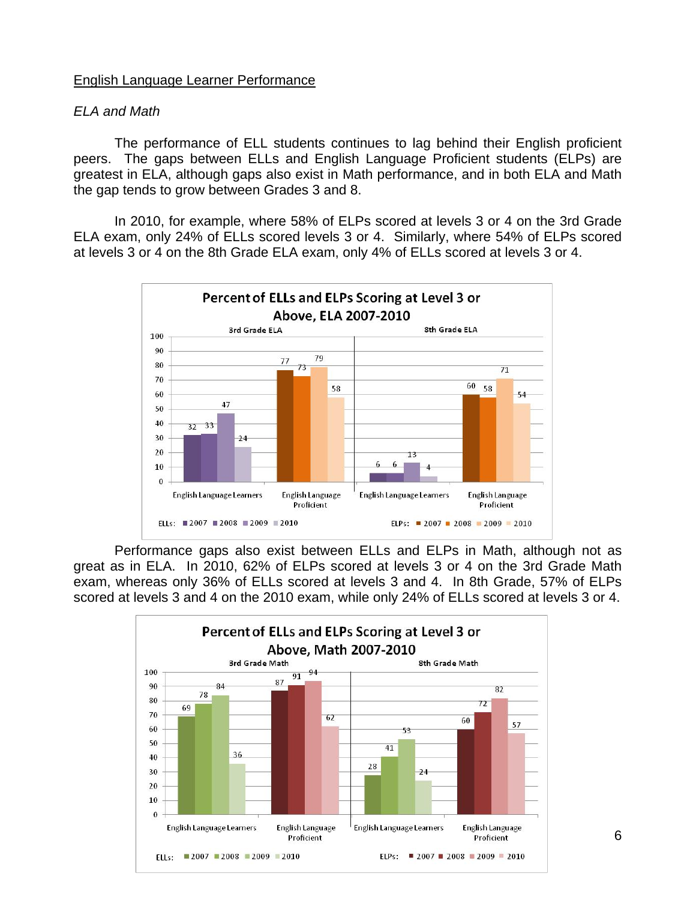### English Language Learner Performance

#### *ELA and Math*

The performance of ELL students continues to lag behind their English proficient peers. The gaps between ELLs and English Language Proficient students (ELPs) are greatest in ELA, although gaps also exist in Math performance, and in both ELA and Math the gap tends to grow between Grades 3 and 8.

In 2010, for example, where 58% of ELPs scored at levels 3 or 4 on the 3rd Grade ELA exam, only 24% of ELLs scored levels 3 or 4. Similarly, where 54% of ELPs scored at levels 3 or 4 on the 8th Grade ELA exam, only 4% of ELLs scored at levels 3 or 4.



Performance gaps also exist between ELLs and ELPs in Math, although not as great as in ELA. In 2010, 62% of ELPs scored at levels 3 or 4 on the 3rd Grade Math exam, whereas only 36% of ELLs scored at levels 3 and 4. In 8th Grade, 57% of ELPs scored at levels 3 and 4 on the 2010 exam, while only 24% of ELLs scored at levels 3 or 4.

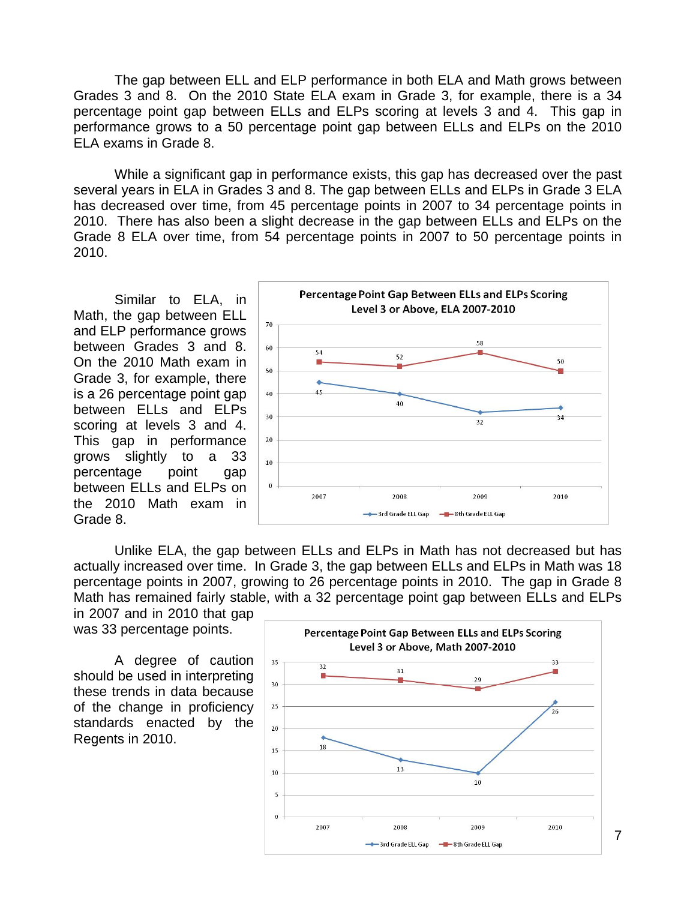The gap between ELL and ELP performance in both ELA and Math grows between Grades 3 and 8. On the 2010 State ELA exam in Grade 3, for example, there is a 34 percentage point gap between ELLs and ELPs scoring at levels 3 and 4. This gap in performance grows to a 50 percentage point gap between ELLs and ELPs on the 2010 ELA exams in Grade 8.

While a significant gap in performance exists, this gap has decreased over the past several years in ELA in Grades 3 and 8. The gap between ELLs and ELPs in Grade 3 ELA has decreased over time, from 45 percentage points in 2007 to 34 percentage points in 2010. There has also been a slight decrease in the gap between ELLs and ELPs on the Grade 8 ELA over time, from 54 percentage points in 2007 to 50 percentage points in 2010.

Similar to ELA, in Math, the gap between ELL and ELP performance grows between Grades 3 and 8. On the 2010 Math exam in Grade 3, for example, there is a 26 percentage point gap between ELLs and ELPs scoring at levels 3 and 4. This gap in performance grows slightly to a 33 percentage point gap between ELLs and ELPs on the 2010 Math exam in Grade 8.



Unlike ELA, the gap between ELLs and ELPs in Math has not decreased but has actually increased over time. In Grade 3, the gap between ELLs and ELPs in Math was 18 percentage points in 2007, growing to 26 percentage points in 2010. The gap in Grade 8 Math has remained fairly stable, with a 32 percentage point gap between ELLs and ELPs in 2007 and in 2010 that gap

was 33 percentage points.

A degree of caution should be used in interpreting these trends in data because of the change in proficiency standards enacted by the Regents in 2010.



7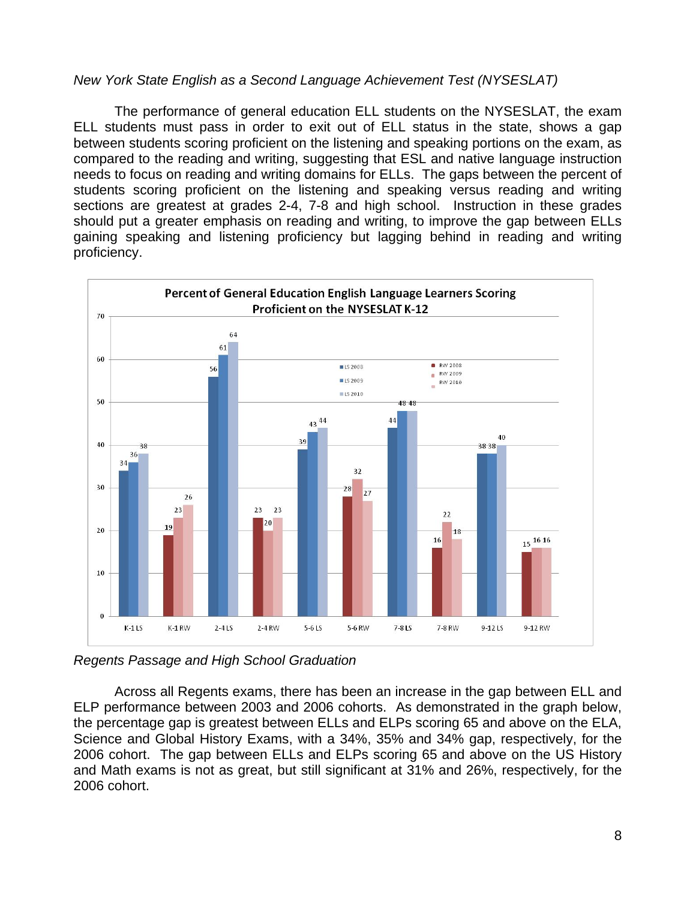# *New York State English as a Second Language Achievement Test (NYSESLAT)*

The performance of general education ELL students on the NYSESLAT, the exam ELL students must pass in order to exit out of ELL status in the state, shows a gap between students scoring proficient on the listening and speaking portions on the exam, as compared to the reading and writing, suggesting that ESL and native language instruction needs to focus on reading and writing domains for ELLs. The gaps between the percent of students scoring proficient on the listening and speaking versus reading and writing sections are greatest at grades 2-4, 7-8 and high school. Instruction in these grades should put a greater emphasis on reading and writing, to improve the gap between ELLs gaining speaking and listening proficiency but lagging behind in reading and writing proficiency.



*Regents Passage and High School Graduation* 

Across all Regents exams, there has been an increase in the gap between ELL and ELP performance between 2003 and 2006 cohorts. As demonstrated in the graph below, the percentage gap is greatest between ELLs and ELPs scoring 65 and above on the ELA, Science and Global History Exams, with a 34%, 35% and 34% gap, respectively, for the 2006 cohort. The gap between ELLs and ELPs scoring 65 and above on the US History and Math exams is not as great, but still significant at 31% and 26%, respectively, for the 2006 cohort.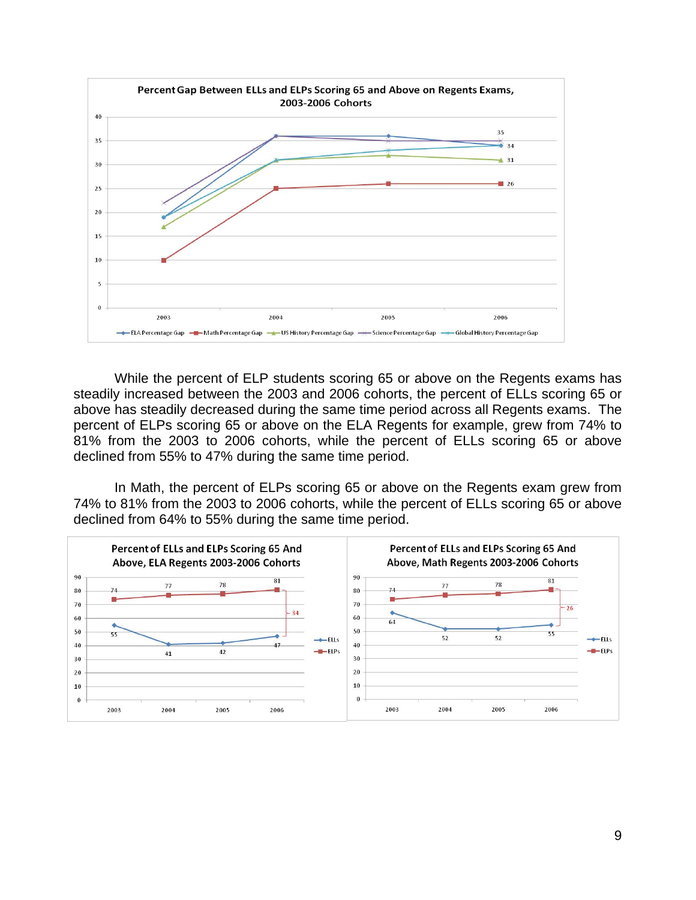

While the percent of ELP students scoring 65 or above on the Regents exams has steadily increased between the 2003 and 2006 cohorts, the percent of ELLs scoring 65 or above has steadily decreased during the same time period across all Regents exams. The percent of ELPs scoring 65 or above on the ELA Regents for example, grew from 74% to 81% from the 2003 to 2006 cohorts, while the percent of ELLs scoring 65 or above declined from 55% to 47% during the same time period.

In Math, the percent of ELPs scoring 65 or above on the Regents exam grew from 74% to 81% from the 2003 to 2006 cohorts, while the percent of ELLs scoring 65 or above declined from 64% to 55% during the same time period.

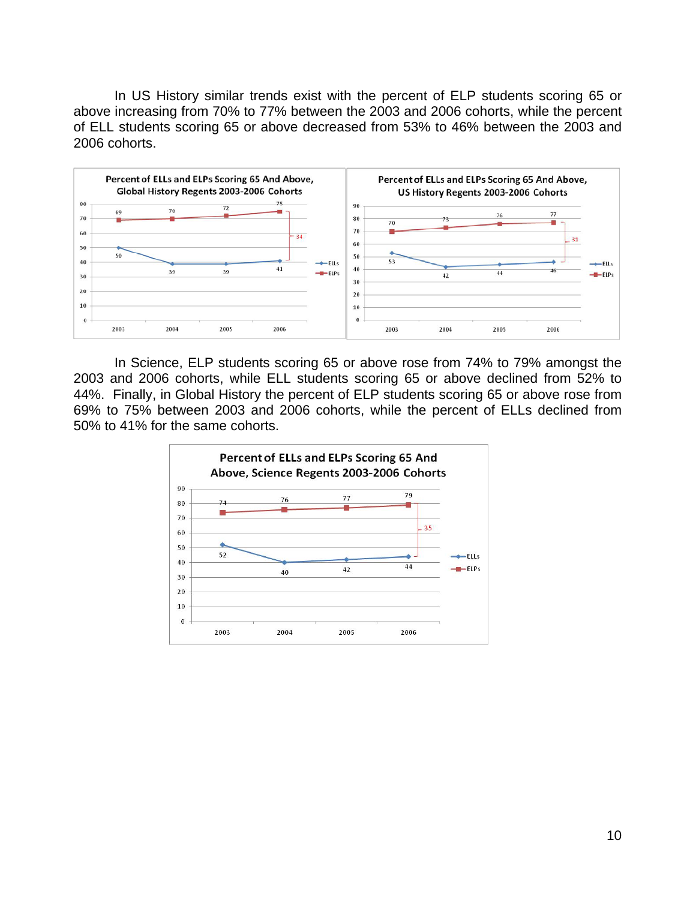In US History similar trends exist with the percent of ELP students scoring 65 or above increasing from 70% to 77% between the 2003 and 2006 cohorts, while the percent of ELL students scoring 65 or above decreased from 53% to 46% between the 2003 and 2006 cohorts.



In Science, ELP students scoring 65 or above rose from 74% to 79% amongst the 2003 and 2006 cohorts, while ELL students scoring 65 or above declined from 52% to 44%. Finally, in Global History the percent of ELP students scoring 65 or above rose from 69% to 75% between 2003 and 2006 cohorts, while the percent of ELLs declined from 50% to 41% for the same cohorts.

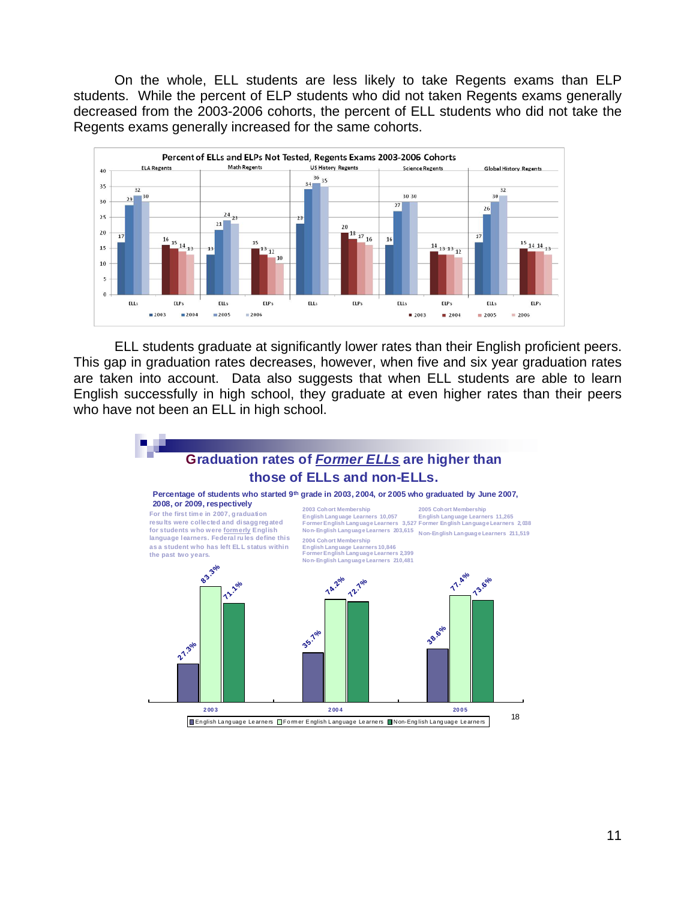On the whole, ELL students are less likely to take Regents exams than ELP students. While the percent of ELP students who did not taken Regents exams generally decreased from the 2003-2006 cohorts, the percent of ELL students who did not take the Regents exams generally increased for the same cohorts.



ELL students graduate at significantly lower rates than their English proficient peers. This gap in graduation rates decreases, however, when five and six year graduation rates are taken into account. Data also suggests that when ELL students are able to learn English successfully in high school, they graduate at even higher rates than their peers who have not been an ELL in high school.

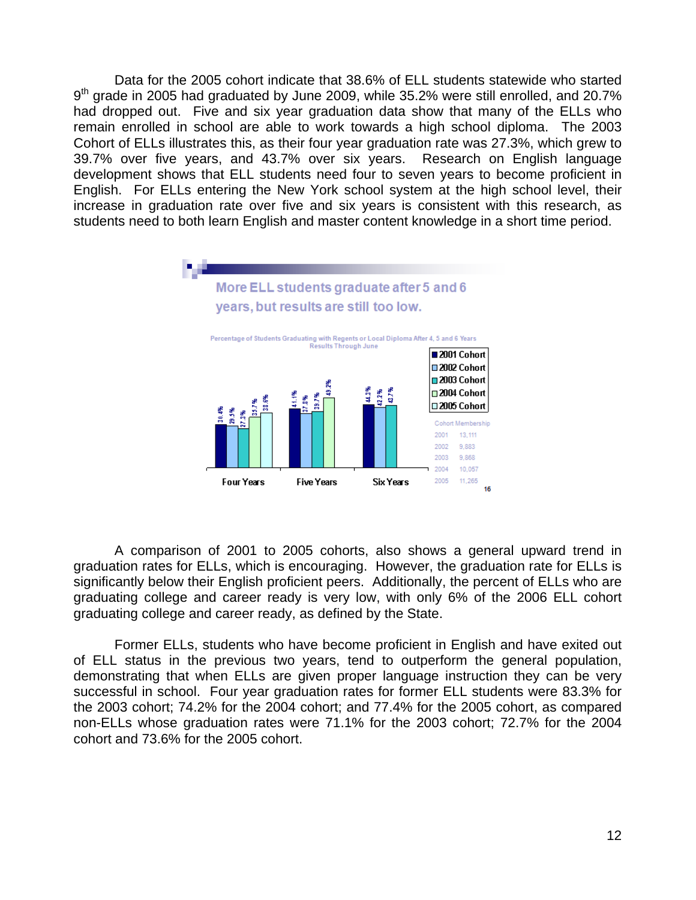Data for the 2005 cohort indicate that 38.6% of ELL students statewide who started  $9<sup>th</sup>$  grade in 2005 had graduated by June 2009, while 35.2% were still enrolled, and 20.7% had dropped out. Five and six year graduation data show that many of the ELLs who remain enrolled in school are able to work towards a high school diploma. The 2003 Cohort of ELLs illustrates this, as their four year graduation rate was 27.3%, which grew to 39.7% over five years, and 43.7% over six years. Research on English language development shows that ELL students need four to seven years to become proficient in English. For ELLs entering the New York school system at the high school level, their increase in graduation rate over five and six years is consistent with this research, as students need to both learn English and master content knowledge in a short time period.



A comparison of 2001 to 2005 cohorts, also shows a general upward trend in graduation rates for ELLs, which is encouraging. However, the graduation rate for ELLs is significantly below their English proficient peers. Additionally, the percent of ELLs who are graduating college and career ready is very low, with only 6% of the 2006 ELL cohort graduating college and career ready, as defined by the State.

 Former ELLs, students who have become proficient in English and have exited out of ELL status in the previous two years, tend to outperform the general population, demonstrating that when ELLs are given proper language instruction they can be very successful in school. Four year graduation rates for former ELL students were 83.3% for the 2003 cohort; 74.2% for the 2004 cohort; and 77.4% for the 2005 cohort, as compared non-ELLs whose graduation rates were 71.1% for the 2003 cohort; 72.7% for the 2004 cohort and 73.6% for the 2005 cohort.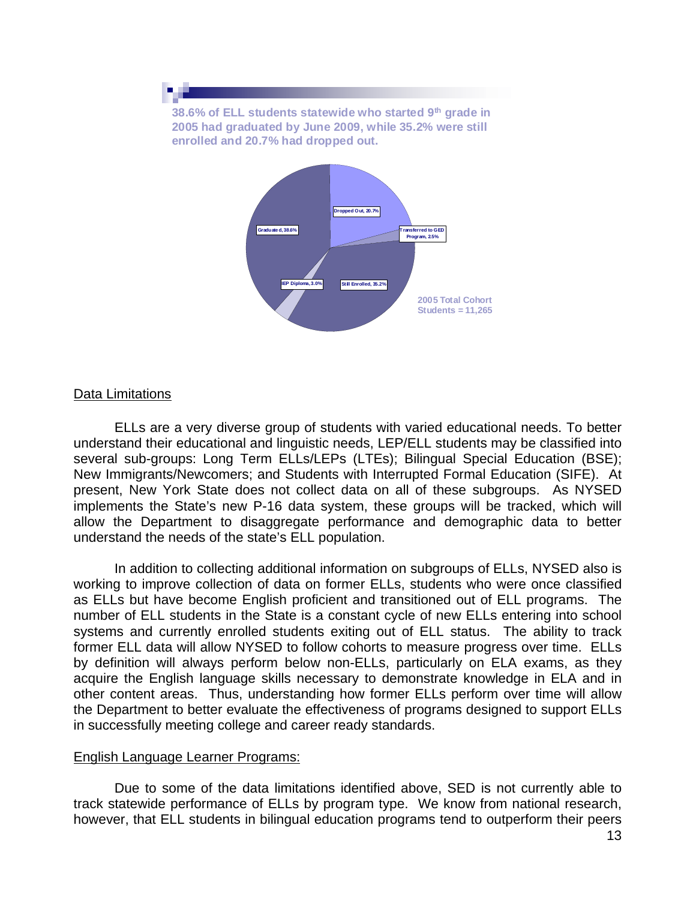

#### Data Limitations

 ELLs are a very diverse group of students with varied educational needs. To better understand their educational and linguistic needs, LEP/ELL students may be classified into several sub-groups: Long Term ELLs/LEPs (LTEs); Bilingual Special Education (BSE); New Immigrants/Newcomers; and Students with Interrupted Formal Education (SIFE). At present, New York State does not collect data on all of these subgroups. As NYSED implements the State's new P-16 data system, these groups will be tracked, which will allow the Department to disaggregate performance and demographic data to better understand the needs of the state's ELL population.

 In addition to collecting additional information on subgroups of ELLs, NYSED also is working to improve collection of data on former ELLs, students who were once classified as ELLs but have become English proficient and transitioned out of ELL programs. The number of ELL students in the State is a constant cycle of new ELLs entering into school systems and currently enrolled students exiting out of ELL status. The ability to track former ELL data will allow NYSED to follow cohorts to measure progress over time. ELLs by definition will always perform below non-ELLs, particularly on ELA exams, as they acquire the English language skills necessary to demonstrate knowledge in ELA and in other content areas. Thus, understanding how former ELLs perform over time will allow the Department to better evaluate the effectiveness of programs designed to support ELLs in successfully meeting college and career ready standards.

#### English Language Learner Programs:

 Due to some of the data limitations identified above, SED is not currently able to track statewide performance of ELLs by program type. We know from national research, however, that ELL students in bilingual education programs tend to outperform their peers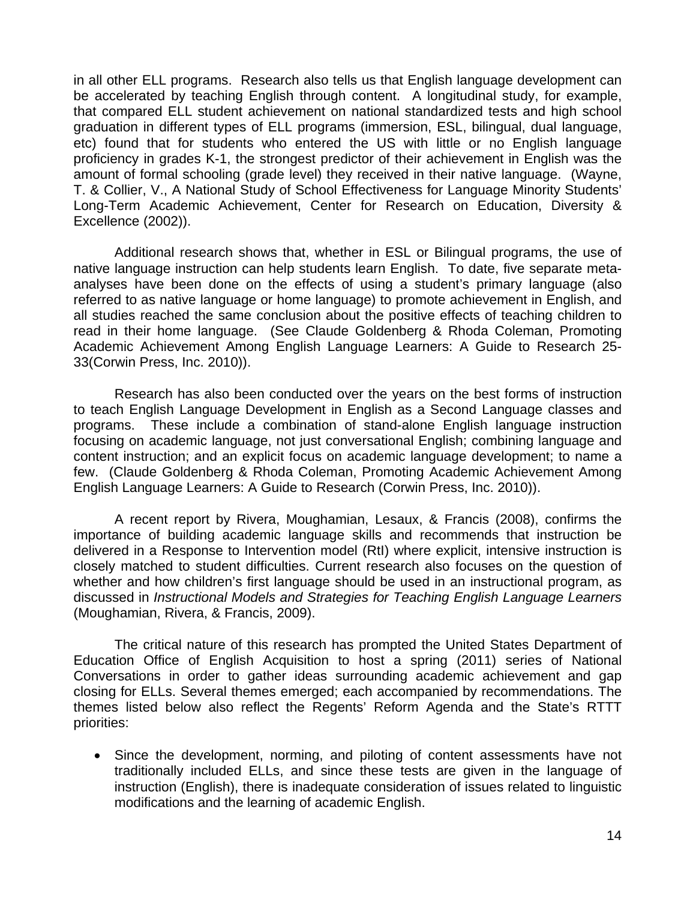in all other ELL programs. Research also tells us that English language development can be accelerated by teaching English through content. A longitudinal study, for example, that compared ELL student achievement on national standardized tests and high school graduation in different types of ELL programs (immersion, ESL, bilingual, dual language, etc) found that for students who entered the US with little or no English language proficiency in grades K-1, the strongest predictor of their achievement in English was the amount of formal schooling (grade level) they received in their native language. (Wayne, T. & Collier, V., A National Study of School Effectiveness for Language Minority Students' Long-Term Academic Achievement, Center for Research on Education, Diversity & Excellence (2002)).

 Additional research shows that, whether in ESL or Bilingual programs, the use of native language instruction can help students learn English. To date, five separate metaanalyses have been done on the effects of using a student's primary language (also referred to as native language or home language) to promote achievement in English, and all studies reached the same conclusion about the positive effects of teaching children to read in their home language. (See Claude Goldenberg & Rhoda Coleman, Promoting Academic Achievement Among English Language Learners: A Guide to Research 25- 33(Corwin Press, Inc. 2010)).

 Research has also been conducted over the years on the best forms of instruction to teach English Language Development in English as a Second Language classes and programs. These include a combination of stand-alone English language instruction focusing on academic language, not just conversational English; combining language and content instruction; and an explicit focus on academic language development; to name a few. (Claude Goldenberg & Rhoda Coleman, Promoting Academic Achievement Among English Language Learners: A Guide to Research (Corwin Press, Inc. 2010)).

A recent report by Rivera, Moughamian, Lesaux, & Francis (2008), confirms the importance of building academic language skills and recommends that instruction be delivered in a Response to Intervention model (RtI) where explicit, intensive instruction is closely matched to student difficulties. Current research also focuses on the question of whether and how children's first language should be used in an instructional program, as discussed in *Instructional Models and Strategies for Teaching English Language Learners*  (Moughamian, Rivera, & Francis, 2009).

The critical nature of this research has prompted the United States Department of Education Office of English Acquisition to host a spring (2011) series of National Conversations in order to gather ideas surrounding academic achievement and gap closing for ELLs. Several themes emerged; each accompanied by recommendations. The themes listed below also reflect the Regents' Reform Agenda and the State's RTTT priorities:

 Since the development, norming, and piloting of content assessments have not traditionally included ELLs, and since these tests are given in the language of instruction (English), there is inadequate consideration of issues related to linguistic modifications and the learning of academic English.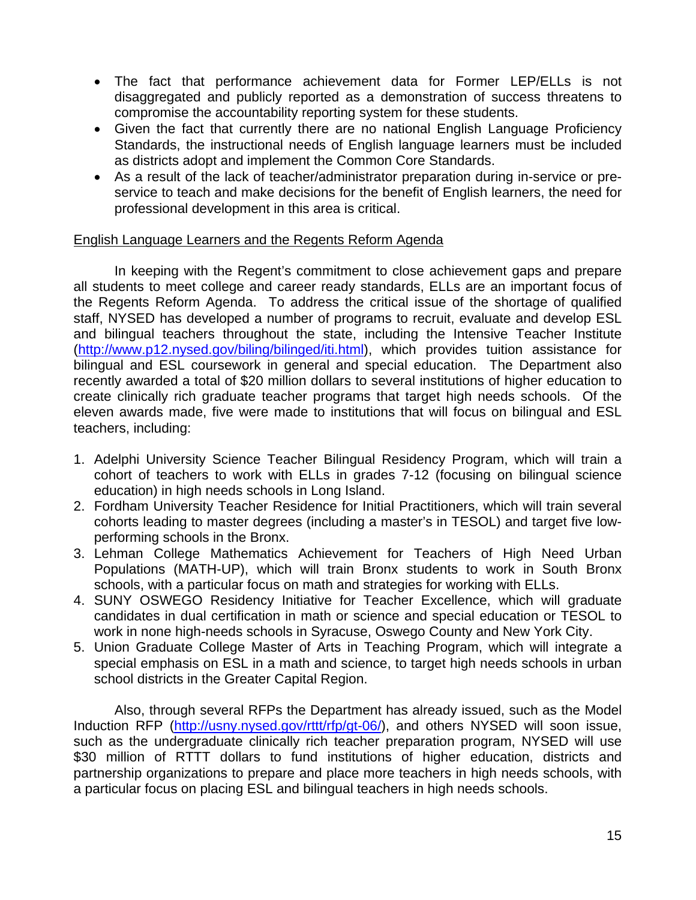- The fact that performance achievement data for Former LEP/ELLs is not disaggregated and publicly reported as a demonstration of success threatens to compromise the accountability reporting system for these students.
- Given the fact that currently there are no national English Language Proficiency Standards, the instructional needs of English language learners must be included as districts adopt and implement the Common Core Standards.
- As a result of the lack of teacher/administrator preparation during in-service or preservice to teach and make decisions for the benefit of English learners, the need for professional development in this area is critical.

# English Language Learners and the Regents Reform Agenda

In keeping with the Regent's commitment to close achievement gaps and prepare all students to meet college and career ready standards, ELLs are an important focus of the Regents Reform Agenda. To address the critical issue of the shortage of qualified staff, NYSED has developed a number of programs to recruit, evaluate and develop ESL and bilingual teachers throughout the state, including the Intensive Teacher Institute (<http://www.p12.nysed.gov/biling/bilinged/iti.html>), which provides tuition assistance for bilingual and ESL coursework in general and special education. The Department also recently awarded a total of \$20 million dollars to several institutions of higher education to create clinically rich graduate teacher programs that target high needs schools. Of the eleven awards made, five were made to institutions that will focus on bilingual and ESL teachers, including:

- 1. Adelphi University Science Teacher Bilingual Residency Program, which will train a cohort of teachers to work with ELLs in grades 7-12 (focusing on bilingual science education) in high needs schools in Long Island.
- 2. Fordham University Teacher Residence for Initial Practitioners, which will train several cohorts leading to master degrees (including a master's in TESOL) and target five lowperforming schools in the Bronx.
- 3. Lehman College Mathematics Achievement for Teachers of High Need Urban Populations (MATH-UP), which will train Bronx students to work in South Bronx schools, with a particular focus on math and strategies for working with ELLs.
- 4. SUNY OSWEGO Residency Initiative for Teacher Excellence, which will graduate candidates in dual certification in math or science and special education or TESOL to work in none high-needs schools in Syracuse, Oswego County and New York City.
- 5. Union Graduate College Master of Arts in Teaching Program, which will integrate a special emphasis on ESL in a math and science, to target high needs schools in urban school districts in the Greater Capital Region.

Also, through several RFPs the Department has already issued, such as the Model Induction RFP [\(http://usny.nysed.gov/rttt/rfp/gt-06/\)](http://usny.nysed.gov/rttt/rfp/gt-06/), and others NYSED will soon issue, such as the undergraduate clinically rich teacher preparation program, NYSED will use \$30 million of RTTT dollars to fund institutions of higher education, districts and partnership organizations to prepare and place more teachers in high needs schools, with a particular focus on placing ESL and bilingual teachers in high needs schools.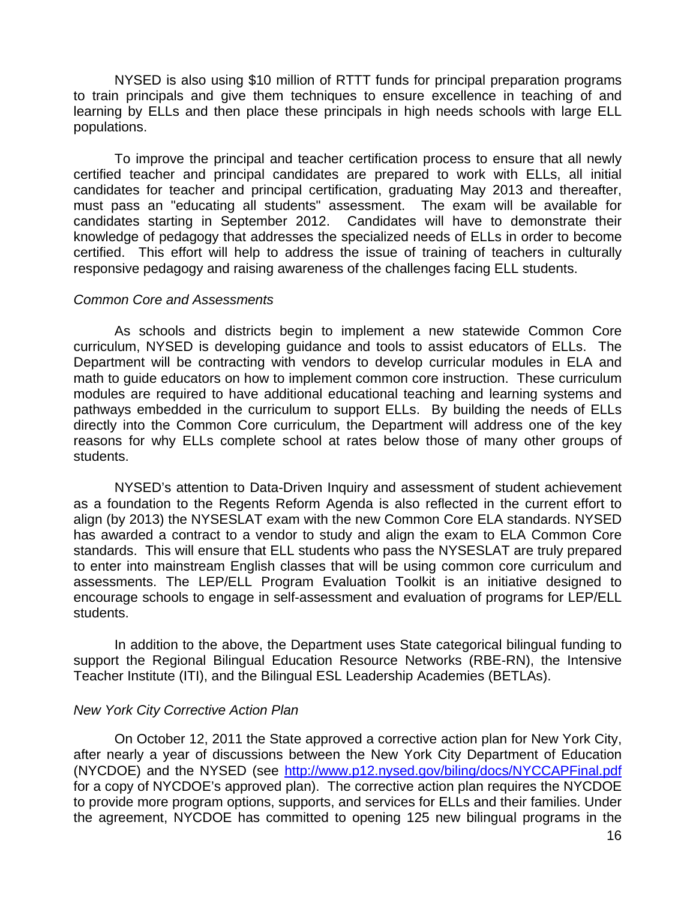NYSED is also using \$10 million of RTTT funds for principal preparation programs to train principals and give them techniques to ensure excellence in teaching of and learning by ELLs and then place these principals in high needs schools with large ELL populations.

To improve the principal and teacher certification process to ensure that all newly certified teacher and principal candidates are prepared to work with ELLs, all initial candidates for teacher and principal certification, graduating May 2013 and thereafter, must pass an "educating all students" assessment. The exam will be available for candidates starting in September 2012. Candidates will have to demonstrate their knowledge of pedagogy that addresses the specialized needs of ELLs in order to become certified. This effort will help to address the issue of training of teachers in culturally responsive pedagogy and raising awareness of the challenges facing ELL students.

#### *Common Core and Assessments*

As schools and districts begin to implement a new statewide Common Core curriculum, NYSED is developing guidance and tools to assist educators of ELLs. The Department will be contracting with vendors to develop curricular modules in ELA and math to guide educators on how to implement common core instruction. These curriculum modules are required to have additional educational teaching and learning systems and pathways embedded in the curriculum to support ELLs. By building the needs of ELLs directly into the Common Core curriculum, the Department will address one of the key reasons for why ELLs complete school at rates below those of many other groups of students.

NYSED's attention to Data-Driven Inquiry and assessment of student achievement as a foundation to the Regents Reform Agenda is also reflected in the current effort to align (by 2013) the NYSESLAT exam with the new Common Core ELA standards. NYSED has awarded a contract to a vendor to study and align the exam to ELA Common Core standards. This will ensure that ELL students who pass the NYSESLAT are truly prepared to enter into mainstream English classes that will be using common core curriculum and assessments. The LEP/ELL Program Evaluation Toolkit is an initiative designed to encourage schools to engage in self-assessment and evaluation of programs for LEP/ELL students.

 In addition to the above, the Department uses State categorical bilingual funding to support the Regional Bilingual Education Resource Networks (RBE-RN), the Intensive Teacher Institute (ITI), and the Bilingual ESL Leadership Academies (BETLAs).

#### *New York City Corrective Action Plan*

 On October 12, 2011 the State approved a corrective action plan for New York City, after nearly a year of discussions between the New York City Department of Education (NYCDOE) and the NYSED (see <http://www.p12.nysed.gov/biling/docs/NYCCAPFinal.pdf> for a copy of NYCDOE's approved plan). The corrective action plan requires the NYCDOE to provide more program options, supports, and services for ELLs and their families. Under the agreement, NYCDOE has committed to opening 125 new bilingual programs in the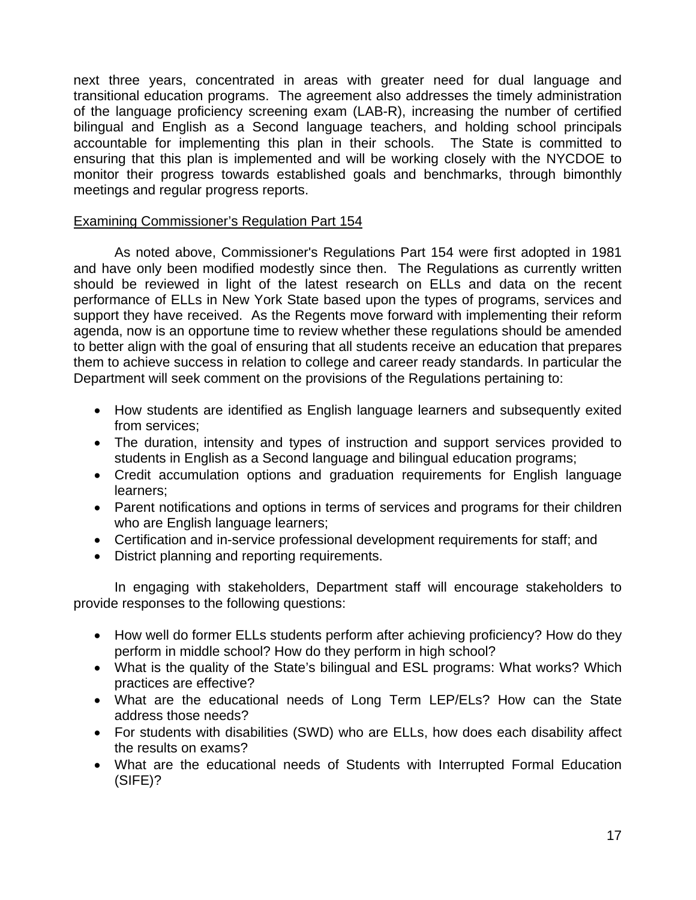next three years, concentrated in areas with greater need for dual language and transitional education programs. The agreement also addresses the timely administration of the language proficiency screening exam (LAB-R), increasing the number of certified bilingual and English as a Second language teachers, and holding school principals accountable for implementing this plan in their schools. The State is committed to ensuring that this plan is implemented and will be working closely with the NYCDOE to monitor their progress towards established goals and benchmarks, through bimonthly meetings and regular progress reports.

## Examining Commissioner's Regulation Part 154

As noted above, Commissioner's Regulations Part 154 were first adopted in 1981 and have only been modified modestly since then. The Regulations as currently written should be reviewed in light of the latest research on ELLs and data on the recent performance of ELLs in New York State based upon the types of programs, services and support they have received. As the Regents move forward with implementing their reform agenda, now is an opportune time to review whether these regulations should be amended to better align with the goal of ensuring that all students receive an education that prepares them to achieve success in relation to college and career ready standards. In particular the Department will seek comment on the provisions of the Regulations pertaining to:

- How students are identified as English language learners and subsequently exited from services;
- The duration, intensity and types of instruction and support services provided to students in English as a Second language and bilingual education programs;
- Credit accumulation options and graduation requirements for English language learners;
- Parent notifications and options in terms of services and programs for their children who are English language learners;
- Certification and in-service professional development requirements for staff; and
- District planning and reporting requirements.

 In engaging with stakeholders, Department staff will encourage stakeholders to provide responses to the following questions:

- How well do former ELLs students perform after achieving proficiency? How do they perform in middle school? How do they perform in high school?
- What is the quality of the State's bilingual and ESL programs: What works? Which practices are effective?
- What are the educational needs of Long Term LEP/ELs? How can the State address those needs?
- For students with disabilities (SWD) who are ELLs, how does each disability affect the results on exams?
- What are the educational needs of Students with Interrupted Formal Education (SIFE)?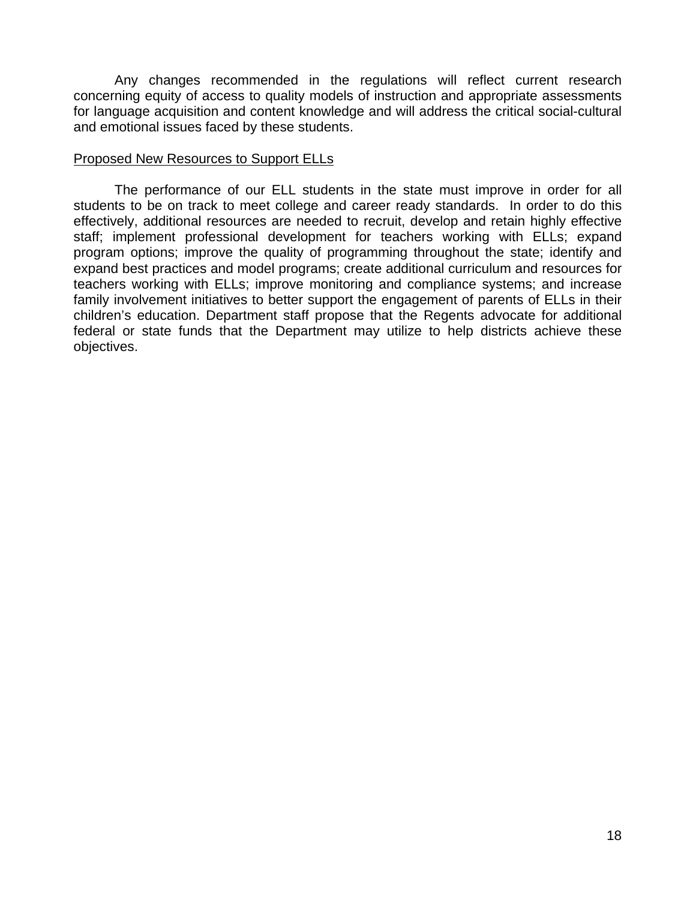Any changes recommended in the regulations will reflect current research concerning equity of access to quality models of instruction and appropriate assessments for language acquisition and content knowledge and will address the critical social-cultural and emotional issues faced by these students.

#### Proposed New Resources to Support ELLs

The performance of our ELL students in the state must improve in order for all students to be on track to meet college and career ready standards. In order to do this effectively, additional resources are needed to recruit, develop and retain highly effective staff; implement professional development for teachers working with ELLs; expand program options; improve the quality of programming throughout the state; identify and expand best practices and model programs; create additional curriculum and resources for teachers working with ELLs; improve monitoring and compliance systems; and increase family involvement initiatives to better support the engagement of parents of ELLs in their children's education. Department staff propose that the Regents advocate for additional federal or state funds that the Department may utilize to help districts achieve these objectives.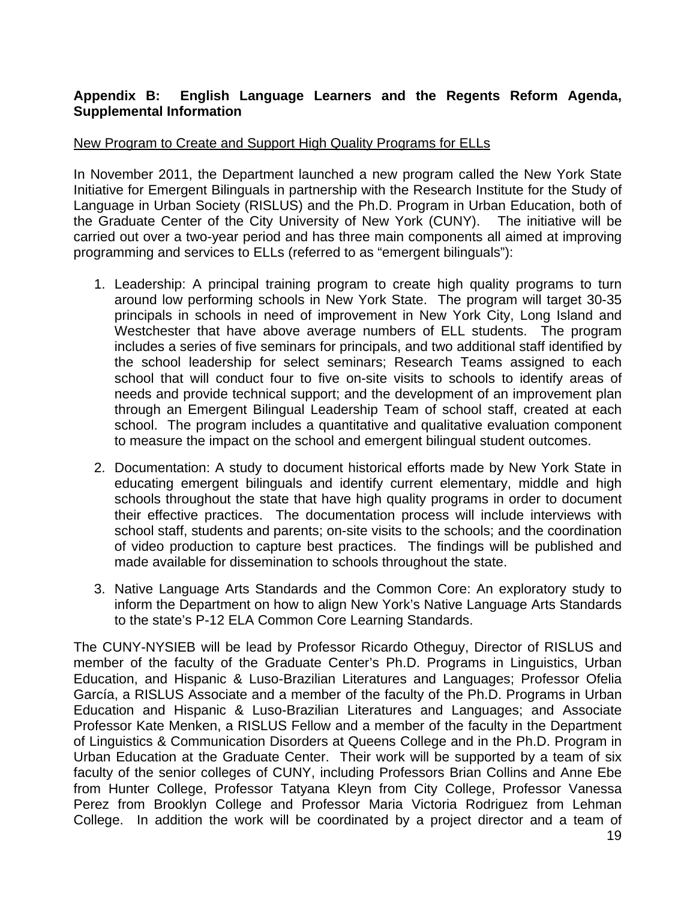# **Appendix B: English Language Learners and the Regents Reform Agenda, Supplemental Information**

## New Program to Create and Support High Quality Programs for ELLs

In November 2011, the Department launched a new program called the New York State Initiative for Emergent Bilinguals in partnership with the Research Institute for the Study of Language in Urban Society (RISLUS) and the Ph.D. Program in Urban Education, both of the Graduate Center of the City University of New York (CUNY). The initiative will be carried out over a two-year period and has three main components all aimed at improving programming and services to ELLs (referred to as "emergent bilinguals"):

- 1. Leadership: A principal training program to create high quality programs to turn around low performing schools in New York State. The program will target 30-35 principals in schools in need of improvement in New York City, Long Island and Westchester that have above average numbers of ELL students. The program includes a series of five seminars for principals, and two additional staff identified by the school leadership for select seminars; Research Teams assigned to each school that will conduct four to five on-site visits to schools to identify areas of needs and provide technical support; and the development of an improvement plan through an Emergent Bilingual Leadership Team of school staff, created at each school. The program includes a quantitative and qualitative evaluation component to measure the impact on the school and emergent bilingual student outcomes.
- 2. Documentation: A study to document historical efforts made by New York State in educating emergent bilinguals and identify current elementary, middle and high schools throughout the state that have high quality programs in order to document their effective practices. The documentation process will include interviews with school staff, students and parents; on-site visits to the schools; and the coordination of video production to capture best practices. The findings will be published and made available for dissemination to schools throughout the state.
- 3. Native Language Arts Standards and the Common Core: An exploratory study to inform the Department on how to align New York's Native Language Arts Standards to the state's P-12 ELA Common Core Learning Standards.

The CUNY-NYSIEB will be lead by Professor Ricardo Otheguy, Director of RISLUS and member of the faculty of the Graduate Center's Ph.D. Programs in Linguistics, Urban Education, and Hispanic & Luso-Brazilian Literatures and Languages; Professor Ofelia García, a RISLUS Associate and a member of the faculty of the Ph.D. Programs in Urban Education and Hispanic & Luso-Brazilian Literatures and Languages; and Associate Professor Kate Menken, a RISLUS Fellow and a member of the faculty in the Department of Linguistics & Communication Disorders at Queens College and in the Ph.D. Program in Urban Education at the Graduate Center. Their work will be supported by a team of six faculty of the senior colleges of CUNY, including Professors Brian Collins and Anne Ebe from Hunter College, Professor Tatyana Kleyn from City College, Professor Vanessa Perez from Brooklyn College and Professor Maria Victoria Rodriguez from Lehman College. In addition the work will be coordinated by a project director and a team of